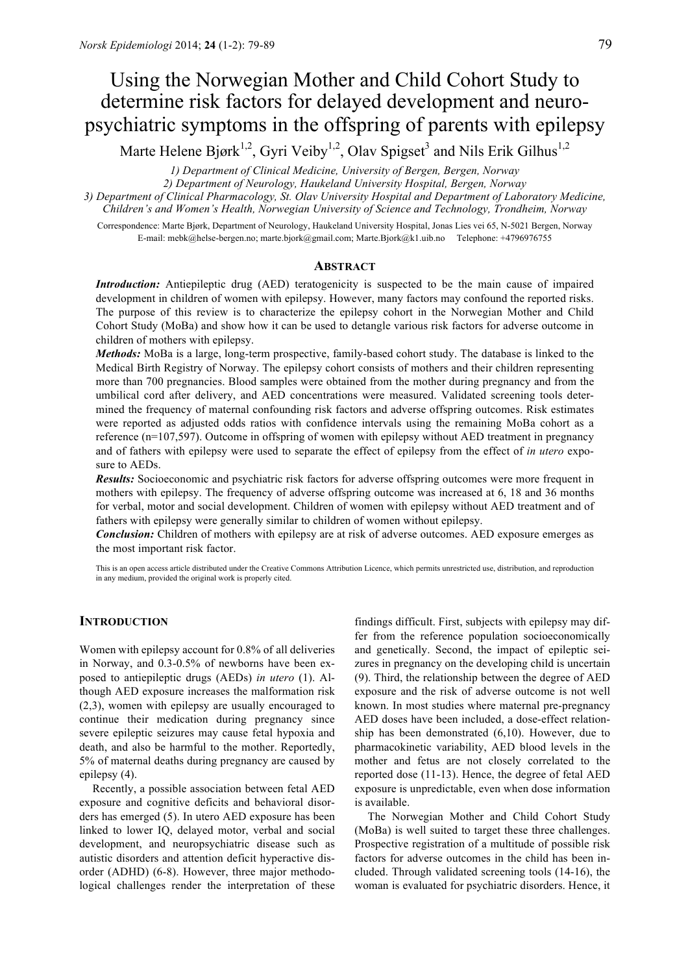# Using the Norwegian Mother and Child Cohort Study to determine risk factors for delayed development and neuropsychiatric symptoms in the offspring of parents with epilepsy

Marte Helene Bjørk<sup>1,2</sup>, Gyri Veiby<sup>1,2</sup>, Olav Spigset<sup>3</sup> and Nils Erik Gilhus<sup>1,2</sup>

*1) Department of Clinical Medicine, University of Bergen, Bergen, Norway*

*2) Department of Neurology, Haukeland University Hospital, Bergen, Norway*

*3) Department of Clinical Pharmacology, St. Olav University Hospital and Department of Laboratory Medicine, Children's and Women's Health, Norwegian University of Science and Technology, Trondheim, Norway*

Correspondence: Marte Bjørk, Department of Neurology, Haukeland University Hospital, Jonas Lies vei 65, N-5021 Bergen, Norway E-mail: mebk@helse-bergen.no; marte.bjork@gmail.com; Marte.Bjork@k1.uib.no Telephone: +4796976755

### **ABSTRACT**

*Introduction:* Antiepileptic drug (AED) teratogenicity is suspected to be the main cause of impaired development in children of women with epilepsy. However, many factors may confound the reported risks. The purpose of this review is to characterize the epilepsy cohort in the Norwegian Mother and Child Cohort Study (MoBa) and show how it can be used to detangle various risk factors for adverse outcome in children of mothers with epilepsy.

*Methods:* MoBa is a large, long-term prospective, family-based cohort study. The database is linked to the Medical Birth Registry of Norway. The epilepsy cohort consists of mothers and their children representing more than 700 pregnancies. Blood samples were obtained from the mother during pregnancy and from the umbilical cord after delivery, and AED concentrations were measured. Validated screening tools determined the frequency of maternal confounding risk factors and adverse offspring outcomes. Risk estimates were reported as adjusted odds ratios with confidence intervals using the remaining MoBa cohort as a reference (n=107,597). Outcome in offspring of women with epilepsy without AED treatment in pregnancy and of fathers with epilepsy were used to separate the effect of epilepsy from the effect of *in utero* exposure to AEDs.

*Results:* Socioeconomic and psychiatric risk factors for adverse offspring outcomes were more frequent in mothers with epilepsy. The frequency of adverse offspring outcome was increased at 6, 18 and 36 months for verbal, motor and social development. Children of women with epilepsy without AED treatment and of fathers with epilepsy were generally similar to children of women without epilepsy.

*Conclusion:* Children of mothers with epilepsy are at risk of adverse outcomes. AED exposure emerges as the most important risk factor.

This is an open access article distributed under the Creative Commons Attribution Licence, which permits unrestricted use, distribution, and reproduction in any medium, provided the original work is properly cited.

# **INTRODUCTION**

Women with epilepsy account for 0.8% of all deliveries in Norway, and 0.3-0.5% of newborns have been exposed to antiepileptic drugs (AEDs) *in utero* (1). Although AED exposure increases the malformation risk (2,3), women with epilepsy are usually encouraged to continue their medication during pregnancy since severe epileptic seizures may cause fetal hypoxia and death, and also be harmful to the mother. Reportedly, 5% of maternal deaths during pregnancy are caused by epilepsy (4).

Recently, a possible association between fetal AED exposure and cognitive deficits and behavioral disorders has emerged (5). In utero AED exposure has been linked to lower IQ, delayed motor, verbal and social development, and neuropsychiatric disease such as autistic disorders and attention deficit hyperactive disorder (ADHD) (6-8). However, three major methodological challenges render the interpretation of these

findings difficult. First, subjects with epilepsy may differ from the reference population socioeconomically and genetically. Second, the impact of epileptic seizures in pregnancy on the developing child is uncertain (9). Third, the relationship between the degree of AED exposure and the risk of adverse outcome is not well known. In most studies where maternal pre-pregnancy AED doses have been included, a dose-effect relationship has been demonstrated (6,10). However, due to pharmacokinetic variability, AED blood levels in the mother and fetus are not closely correlated to the reported dose (11-13). Hence, the degree of fetal AED exposure is unpredictable, even when dose information is available.

The Norwegian Mother and Child Cohort Study (MoBa) is well suited to target these three challenges. Prospective registration of a multitude of possible risk factors for adverse outcomes in the child has been included. Through validated screening tools (14-16), the woman is evaluated for psychiatric disorders. Hence, it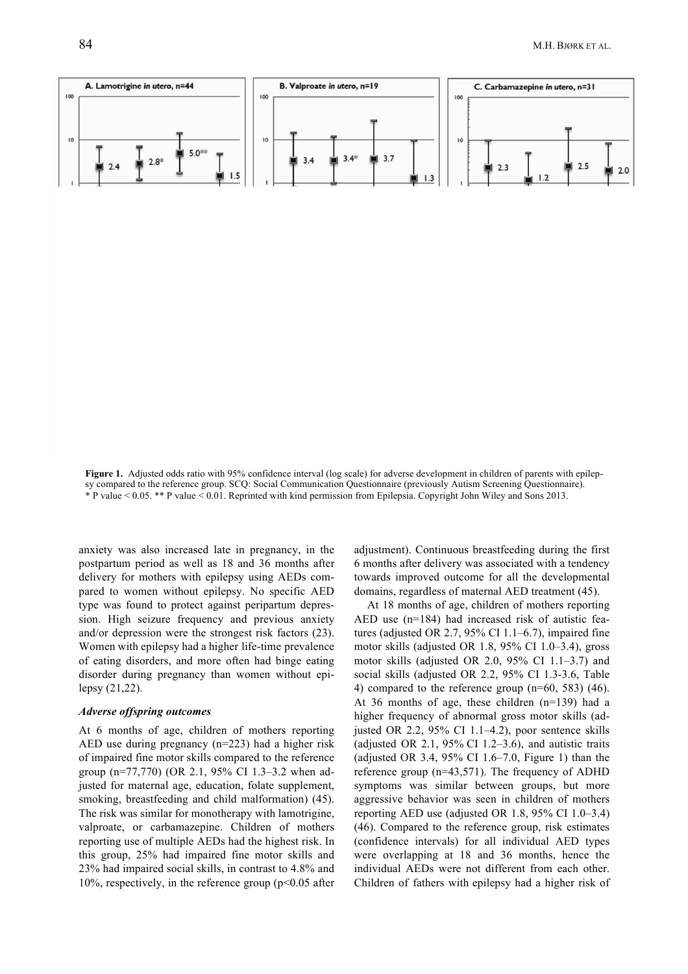Figure 1. Adjusted odds ratio with 95% confidence interval (log scale) for adverse development in children of parents with epilepsy compared to the reference group. SCQ: Social Communication Questionnaire (previously Autism Screening Questionnaire). \* P value < 0.05. \*\* P value < 0.01. Reprinted with kind permission from Epilepsia. Copyright John Wiley and Sons 2013.

anxiety was also increased late in pregnancy, in the postpartum period as well as 18 and 36 months after delivery for mothers with epilepsy using AEDs compared to women without epilepsy. No specific AED type was found to protect against peripartum depression. High seizure frequency and previous anxiety and/or depression were the strongest risk factors (23). Women with epilepsy had a higher life-time prevalence of eating disorders, and more often had binge eating disorder during pregnancy than women without epilepsy  $(21, 22)$ .

#### **Adverse offspring outcomes**

At 6 months of age, children of mothers reporting AED use during pregnancy  $(n=223)$  had a higher risk of impaired fine motor skills compared to the reference group (n=77,770) (OR 2.1, 95% CI 1.3–3.2 when adjusted for maternal age, education, folate supplement, smoking, breastfeeding and child malformation) (45). The risk was similar for monotherapy with lamotrigine, valproate, or carbamazepine. Children of mothers reporting use of multiple AEDs had the highest risk. In this group, 25% had impaired fine motor skills and 23% had impaired social skills, in contrast to 4.8% and 10%, respectively, in the reference group ( $p<0.05$  after adjustment). Continuous breastfeeding during the first 6 months after delivery was associated with a tendency towards improved outcome for all the developmental domains, regardless of maternal AED treatment (45).

At 18 months of age, children of mothers reporting AED use  $(n=184)$  had increased risk of autistic features (adjusted OR 2.7, 95% CI 1.1–6.7), impaired fine motor skills (adjusted OR 1.8, 95% CI 1.0-3.4), gross motor skills (adjusted OR 2.0, 95% CI  $1.1-3.7$ ) and social skills (adjusted OR 2.2, 95% CI 1.3-3.6, Table 4) compared to the reference group  $(n=60, 583)$  (46). At 36 months of age, these children  $(n=139)$  had a higher frequency of abnormal gross motor skills (adjusted OR 2.2, 95% CI 1.1-4.2), poor sentence skills (adjusted OR 2.1, 95% CI 1.2–3.6), and autistic traits (adjusted OR 3.4, 95% CI 1.6–7.0, Figure 1) than the reference group ( $n=43,571$ ). The frequency of ADHD symptoms was similar between groups, but more aggressive behavior was seen in children of mothers reporting AED use (adjusted OR 1.8,  $95\%$  CI 1.0–3.4) (46). Compared to the reference group, risk estimates (confidence intervals) for all individual AED types were overlapping at 18 and 36 months, hence the individual AEDs were not different from each other. Children of fathers with epilepsy had a higher risk of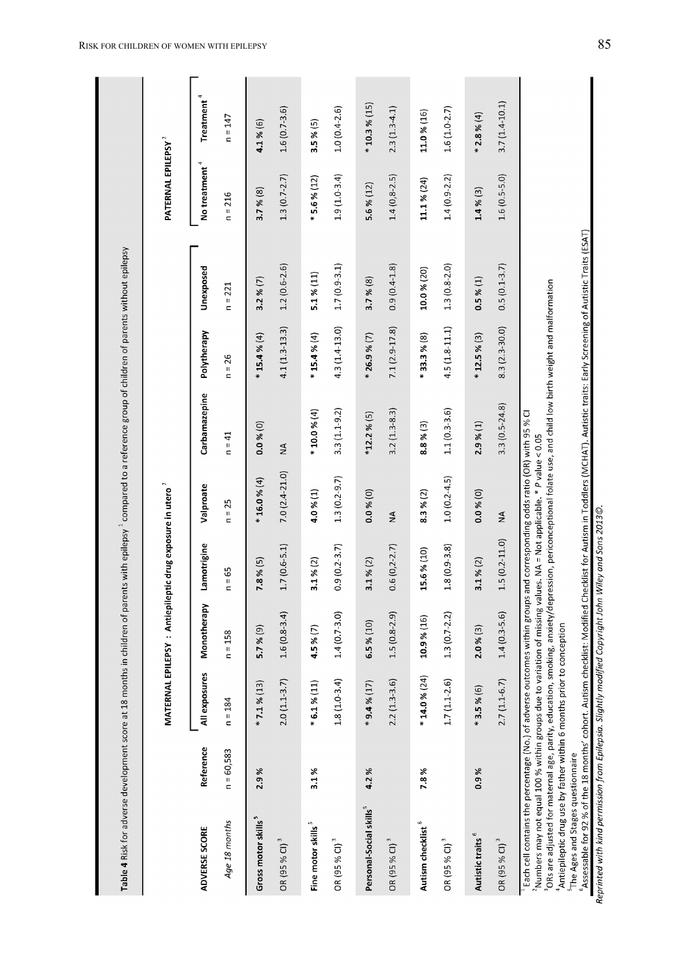| Table 4 Risk for adverse development score at 18 months in children of parents with epilepsy "compared to a reference group of children of parents without epilepsy                                                                                                                                                                                                                                                                                                            |              |                 |                                                                       |                        |                                                |                  |                   |                  |                                |                        |
|--------------------------------------------------------------------------------------------------------------------------------------------------------------------------------------------------------------------------------------------------------------------------------------------------------------------------------------------------------------------------------------------------------------------------------------------------------------------------------|--------------|-----------------|-----------------------------------------------------------------------|------------------------|------------------------------------------------|------------------|-------------------|------------------|--------------------------------|------------------------|
|                                                                                                                                                                                                                                                                                                                                                                                                                                                                                |              |                 | MATERNAL EPILEPSY : Antiepileptic drug exposure in utero <sup>2</sup> |                        |                                                |                  |                   |                  | PATERNAL EPILEPSY <sup>2</sup> |                        |
| ADVERSE SCORE                                                                                                                                                                                                                                                                                                                                                                                                                                                                  | Reference    | All exposures   | Monotherapy                                                           | Lamotrigine            | Valproate                                      | Carbamazepine    | Polytherapy       | Unexposed        | No treatment <sup>4</sup>      | Treatment <sup>4</sup> |
| Age 18 months                                                                                                                                                                                                                                                                                                                                                                                                                                                                  | $n = 60,583$ | $n = 184$       | $n = 158$                                                             | $= 65$<br>$\mathbf{r}$ | $n = 25$                                       | $n = 41$         | $n = 26$          | $n = 221$        | $n = 216$                      | $n = 147$              |
| Gross motor skills <sup>5</sup>                                                                                                                                                                                                                                                                                                                                                                                                                                                | 2.9%         | $* 7.1 % (13)$  | 5.7%(9)                                                               | $7.8\%$ (5)            | $* 16.0 % (4)$                                 | 0.0 % (0)        | $* 15.4 % (4)$    | 3.2% (7)         | 3.7%(8)                        | 4.1%(6)                |
| OR (95 % CI) <sup>3</sup>                                                                                                                                                                                                                                                                                                                                                                                                                                                      |              | $2.0(1.1-3.7)$  | $1.6(0.8-3.4)$                                                        | $1.7(0.6-5.1)$         | $7.0(2.4-21.0)$                                | $\frac{4}{2}$    | $4.1(1.3-13.3)$   | $1.2(0.6-2.6)$   | $1.3(0.7 - 2.7)$               | $1.6(0.7 - 3.6)$       |
| Fine motor skills <sup>5</sup>                                                                                                                                                                                                                                                                                                                                                                                                                                                 | 3.1%         | $*6.1\%(11)$    | 4.5%(7)                                                               | 3.1%(2)                | 4.0 %(1)                                       | * 10.0 % (4)     | $* 15.4 % (4)$    | 5.1% (11)        | $*5.6%(12)$                    | 3.5%(5)                |
| OR (95 % CI) <sup>3</sup>                                                                                                                                                                                                                                                                                                                                                                                                                                                      |              | $1.8(1.0-3.4)$  | $1.4(0.7 - 3.0)$                                                      | $0.9(0.2 - 3.7)$       | $1.3(0.2 - 9.7)$                               | $3.3(1.1 - 9.2)$ | 4.3 (1.4-13.0)    | $1.7(0.9-3.1)$   | $1.9(1.0-3.4)$                 | $1.0(0.4-2.6)$         |
| Personal-Social skills <sup>5</sup>                                                                                                                                                                                                                                                                                                                                                                                                                                            | 4.2%         | $*9.4% (17)$    | 6.5%(10)                                                              | 3.1%(2)                | 0.0 % (0)                                      | $*12.2$ % (5)    | $* 26.9 % (7)$    | 3.7%(8)          | 5.6 % $(12)$                   | $* 10.3 % (15)$        |
| OR (95 % CI) <sup>3</sup>                                                                                                                                                                                                                                                                                                                                                                                                                                                      |              | $2.2(1.3-3.6)$  | $1.5(0.8-2.9)$                                                        | $0.6(0, 2-2.7)$        | $\frac{4}{2}$                                  | $3.2(1.3-8.3)$   | 7.1 (2.9-17.8)    | $0.9(0.4 - 1.8)$ | $1.4(0,8-2.5)$                 | $2.3(1.3-4.1)$         |
| Autism checklist <sup>6</sup>                                                                                                                                                                                                                                                                                                                                                                                                                                                  | 7.8%         | $* 14.0 % (24)$ | 10.9% (16)                                                            | 15.6% (10)             | 8.3%(2)                                        | 8.8%(3)          | $*$ 33.3 % (8)    | 10.0 % (20)      | 11.1 % (24)                    | 11.0% (16)             |
| OR (95 % CI) <sup>3</sup>                                                                                                                                                                                                                                                                                                                                                                                                                                                      |              | $1.7(1.1-2.6)$  | $1.3(0.7 - 2.2)$                                                      | $1.8(0.9-3.8)$         | $1.0(0.2 - 4.5)$                               | $1.1(0.3 - 3.6)$ | $4.5(1.8 - 11.1)$ | $1.3(0.8-2.0)$   | $1.4(0.9-2.2)$                 | $1.6(1.0-2.7)$         |
| Autistic traits <sup>6</sup>                                                                                                                                                                                                                                                                                                                                                                                                                                                   | 0.9%         | $*3.5%(6)$      | 2.0 % (3)                                                             | 3.1%(2)                | $0.0$ % $(0)$                                  | 2.9%(1)          | $* 12.5 % (3)$    | 0.5 %(1)         | 1.4%(3)                        | $*2.8%(4)$             |
| OR (95 % CI) <sup>3</sup>                                                                                                                                                                                                                                                                                                                                                                                                                                                      |              | $2.7(1.1-6.7)$  | $1.4(0.3-5.6)$                                                        | $1.5(0.2 - 11.0)$      | $\frac{4}{2}$                                  | $3.3(0.5-24.8)$  | $8.3(2.3-30.0)$   | $0.5(0.1-3.7)$   | $1.6(0.5 - 5.0)$               | $3.7(1.4-10.1)$        |
| <sup>3</sup> ORs are adjusted for maternal age, parity, education, smoking, anxiety/depression, periconceptional folate use, and child low birth weight and malformation<br><sup>2</sup> Numbers may not equal 100 % within groups due to variation of missing values. NA = Not applicable. * P value < 0.05<br>Each cell contains the percentage (No.) of adverse outcomes within groups<br><sup>4</sup> Antiepileptic drug use by father within 6 months prior to conception |              |                 |                                                                       |                        | and corresponding odds ratio (OR) with 95 % CI |                  |                   |                  |                                |                        |

<sup>6</sup>Assessable for 92 % of the 18 months' cohort. Autism checklist: Modified Checklist for Autism in Toddlers (MCHAT). Autistic traits: Early Screening of Autistic Traits (ESAT)<br>*Reprinted with kind permission from Epilepsi* 

<sup>5</sup>The Ages and Stages questionnaire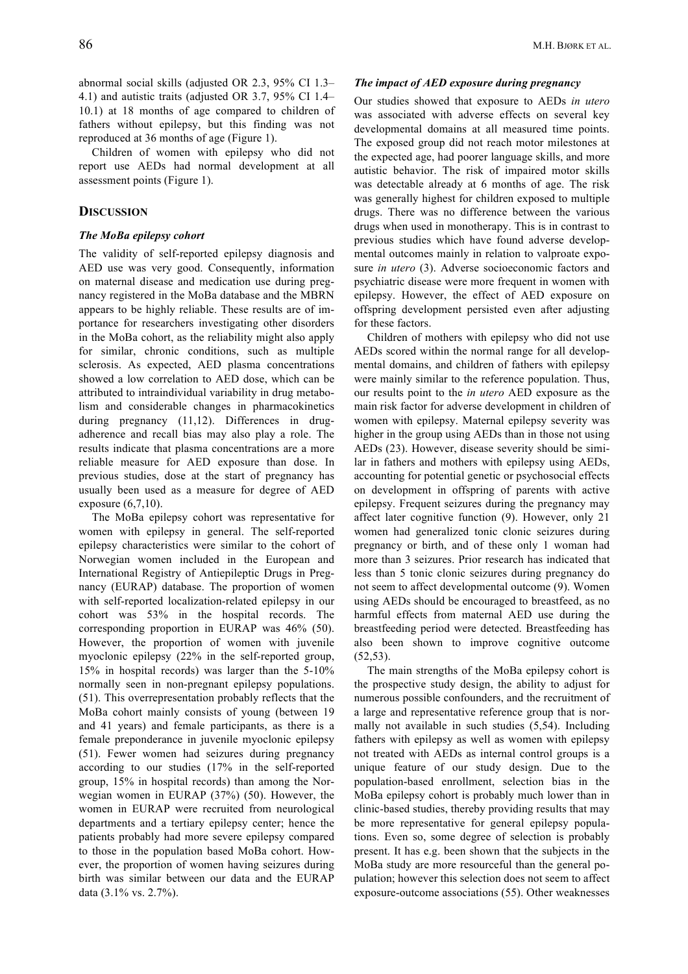abnormal social skills (adjusted OR 2.3, 95% CI 1.3– 4.1) and autistic traits (adjusted OR 3.7, 95% CI 1.4– 10.1) at 18 months of age compared to children of fathers without epilepsy, but this finding was not reproduced at 36 months of age (Figure 1).

Children of women with epilepsy who did not report use AEDs had normal development at all assessment points (Figure 1).

# **DISCUSSION**

## *The MoBa epilepsy cohort*

The validity of self-reported epilepsy diagnosis and AED use was very good. Consequently, information on maternal disease and medication use during pregnancy registered in the MoBa database and the MBRN appears to be highly reliable. These results are of importance for researchers investigating other disorders in the MoBa cohort, as the reliability might also apply for similar, chronic conditions, such as multiple sclerosis. As expected, AED plasma concentrations showed a low correlation to AED dose, which can be attributed to intraindividual variability in drug metabolism and considerable changes in pharmacokinetics during pregnancy (11,12). Differences in drugadherence and recall bias may also play a role. The results indicate that plasma concentrations are a more reliable measure for AED exposure than dose. In previous studies, dose at the start of pregnancy has usually been used as a measure for degree of AED exposure (6,7,10).

The MoBa epilepsy cohort was representative for women with epilepsy in general. The self-reported epilepsy characteristics were similar to the cohort of Norwegian women included in the European and International Registry of Antiepileptic Drugs in Pregnancy (EURAP) database. The proportion of women with self-reported localization-related epilepsy in our cohort was 53% in the hospital records. The corresponding proportion in EURAP was 46% (50). However, the proportion of women with juvenile myoclonic epilepsy (22% in the self-reported group, 15% in hospital records) was larger than the 5-10% normally seen in non-pregnant epilepsy populations. (51). This overrepresentation probably reflects that the MoBa cohort mainly consists of young (between 19 and 41 years) and female participants, as there is a female preponderance in juvenile myoclonic epilepsy (51). Fewer women had seizures during pregnancy according to our studies (17% in the self-reported group, 15% in hospital records) than among the Norwegian women in EURAP (37%) (50). However, the women in EURAP were recruited from neurological departments and a tertiary epilepsy center; hence the patients probably had more severe epilepsy compared to those in the population based MoBa cohort. However, the proportion of women having seizures during birth was similar between our data and the EURAP data (3.1% vs. 2.7%).

# *The impact of AED exposure during pregnancy*

Our studies showed that exposure to AEDs *in utero* was associated with adverse effects on several key developmental domains at all measured time points. The exposed group did not reach motor milestones at the expected age, had poorer language skills, and more autistic behavior. The risk of impaired motor skills was detectable already at 6 months of age. The risk was generally highest for children exposed to multiple drugs. There was no difference between the various drugs when used in monotherapy. This is in contrast to previous studies which have found adverse developmental outcomes mainly in relation to valproate exposure *in utero* (3). Adverse socioeconomic factors and psychiatric disease were more frequent in women with epilepsy. However, the effect of AED exposure on offspring development persisted even after adjusting for these factors.

Children of mothers with epilepsy who did not use AEDs scored within the normal range for all developmental domains, and children of fathers with epilepsy were mainly similar to the reference population. Thus, our results point to the *in utero* AED exposure as the main risk factor for adverse development in children of women with epilepsy. Maternal epilepsy severity was higher in the group using AEDs than in those not using AEDs (23). However, disease severity should be similar in fathers and mothers with epilepsy using AEDs, accounting for potential genetic or psychosocial effects on development in offspring of parents with active epilepsy. Frequent seizures during the pregnancy may affect later cognitive function (9). However, only 21 women had generalized tonic clonic seizures during pregnancy or birth, and of these only 1 woman had more than 3 seizures. Prior research has indicated that less than 5 tonic clonic seizures during pregnancy do not seem to affect developmental outcome (9). Women using AEDs should be encouraged to breastfeed, as no harmful effects from maternal AED use during the breastfeeding period were detected. Breastfeeding has also been shown to improve cognitive outcome (52,53).

The main strengths of the MoBa epilepsy cohort is the prospective study design, the ability to adjust for numerous possible confounders, and the recruitment of a large and representative reference group that is normally not available in such studies (5,54). Including fathers with epilepsy as well as women with epilepsy not treated with AEDs as internal control groups is a unique feature of our study design. Due to the population-based enrollment, selection bias in the MoBa epilepsy cohort is probably much lower than in clinic-based studies, thereby providing results that may be more representative for general epilepsy populations. Even so, some degree of selection is probably present. It has e.g. been shown that the subjects in the MoBa study are more resourceful than the general population; however this selection does not seem to affect exposure-outcome associations (55). Other weaknesses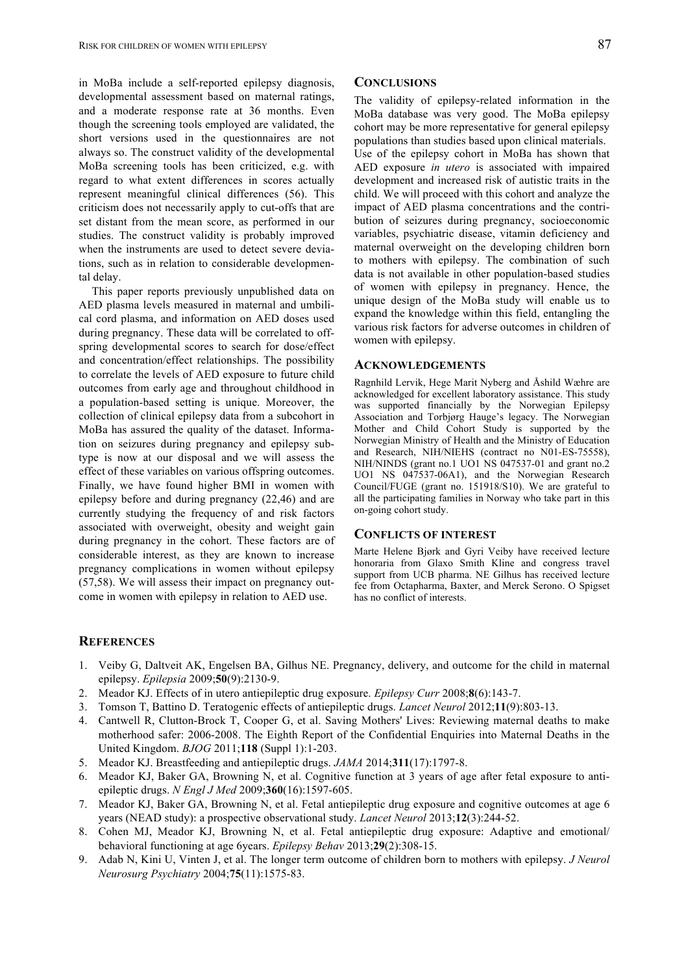in MoBa include a self-reported epilepsy diagnosis, developmental assessment based on maternal ratings, and a moderate response rate at 36 months. Even though the screening tools employed are validated, the short versions used in the questionnaires are not always so. The construct validity of the developmental MoBa screening tools has been criticized, e.g. with regard to what extent differences in scores actually represent meaningful clinical differences (56). This criticism does not necessarily apply to cut-offs that are set distant from the mean score, as performed in our studies. The construct validity is probably improved when the instruments are used to detect severe deviations, such as in relation to considerable developmental delay.

This paper reports previously unpublished data on AED plasma levels measured in maternal and umbilical cord plasma, and information on AED doses used during pregnancy. These data will be correlated to offspring developmental scores to search for dose/effect and concentration/effect relationships. The possibility to correlate the levels of AED exposure to future child outcomes from early age and throughout childhood in a population-based setting is unique. Moreover, the collection of clinical epilepsy data from a subcohort in MoBa has assured the quality of the dataset. Information on seizures during pregnancy and epilepsy subtype is now at our disposal and we will assess the effect of these variables on various offspring outcomes. Finally, we have found higher BMI in women with epilepsy before and during pregnancy (22,46) and are currently studying the frequency of and risk factors associated with overweight, obesity and weight gain during pregnancy in the cohort. These factors are of considerable interest, as they are known to increase pregnancy complications in women without epilepsy (57,58). We will assess their impact on pregnancy outcome in women with epilepsy in relation to AED use.

# **CONCLUSIONS**

The validity of epilepsy-related information in the MoBa database was very good. The MoBa epilepsy cohort may be more representative for general epilepsy populations than studies based upon clinical materials. Use of the epilepsy cohort in MoBa has shown that AED exposure *in utero* is associated with impaired development and increased risk of autistic traits in the child. We will proceed with this cohort and analyze the impact of AED plasma concentrations and the contribution of seizures during pregnancy, socioeconomic variables, psychiatric disease, vitamin deficiency and maternal overweight on the developing children born to mothers with epilepsy. The combination of such data is not available in other population-based studies of women with epilepsy in pregnancy. Hence, the unique design of the MoBa study will enable us to expand the knowledge within this field, entangling the various risk factors for adverse outcomes in children of women with epilepsy.

#### **ACKNOWLEDGEMENTS**

Ragnhild Lervik, Hege Marit Nyberg and Åshild Wæhre are acknowledged for excellent laboratory assistance. This study was supported financially by the Norwegian Epilepsy Association and Torbjørg Hauge's legacy. The Norwegian Mother and Child Cohort Study is supported by the Norwegian Ministry of Health and the Ministry of Education and Research, NIH/NIEHS (contract no N01-ES-75558), NIH/NINDS (grant no.1 UO1 NS 047537-01 and grant no.2 UO1 NS 047537-06A1), and the Norwegian Research Council/FUGE (grant no. 151918/S10). We are grateful to all the participating families in Norway who take part in this on-going cohort study.

#### **CONFLICTS OF INTEREST**

Marte Helene Bjørk and Gyri Veiby have received lecture honoraria from Glaxo Smith Kline and congress travel support from UCB pharma. NE Gilhus has received lecture fee from Octapharma, Baxter, and Merck Serono. O Spigset has no conflict of interests.

#### **REFERENCES**

- 1. Veiby G, Daltveit AK, Engelsen BA, Gilhus NE. Pregnancy, delivery, and outcome for the child in maternal epilepsy. *Epilepsia* 2009;**50**(9):2130-9.
- 2. Meador KJ. Effects of in utero antiepileptic drug exposure. *Epilepsy Curr* 2008;**8**(6):143-7.
- 3. Tomson T, Battino D. Teratogenic effects of antiepileptic drugs. *Lancet Neurol* 2012;**11**(9):803-13.
- 4. Cantwell R, Clutton-Brock T, Cooper G, et al. Saving Mothers' Lives: Reviewing maternal deaths to make motherhood safer: 2006-2008. The Eighth Report of the Confidential Enquiries into Maternal Deaths in the United Kingdom. *BJOG* 2011;**118** (Suppl 1):1-203.
- 5. Meador KJ. Breastfeeding and antiepileptic drugs. *JAMA* 2014;**311**(17):1797-8.
- 6. Meador KJ, Baker GA, Browning N, et al. Cognitive function at 3 years of age after fetal exposure to antiepileptic drugs. *N Engl J Med* 2009;**360**(16):1597-605.
- 7. Meador KJ, Baker GA, Browning N, et al. Fetal antiepileptic drug exposure and cognitive outcomes at age 6 years (NEAD study): a prospective observational study. *Lancet Neurol* 2013;**12**(3):244-52.
- 8. Cohen MJ, Meador KJ, Browning N, et al. Fetal antiepileptic drug exposure: Adaptive and emotional/ behavioral functioning at age 6years. *Epilepsy Behav* 2013;**29**(2):308-15.
- 9. Adab N, Kini U, Vinten J, et al. The longer term outcome of children born to mothers with epilepsy. *J Neurol Neurosurg Psychiatry* 2004;**75**(11):1575-83.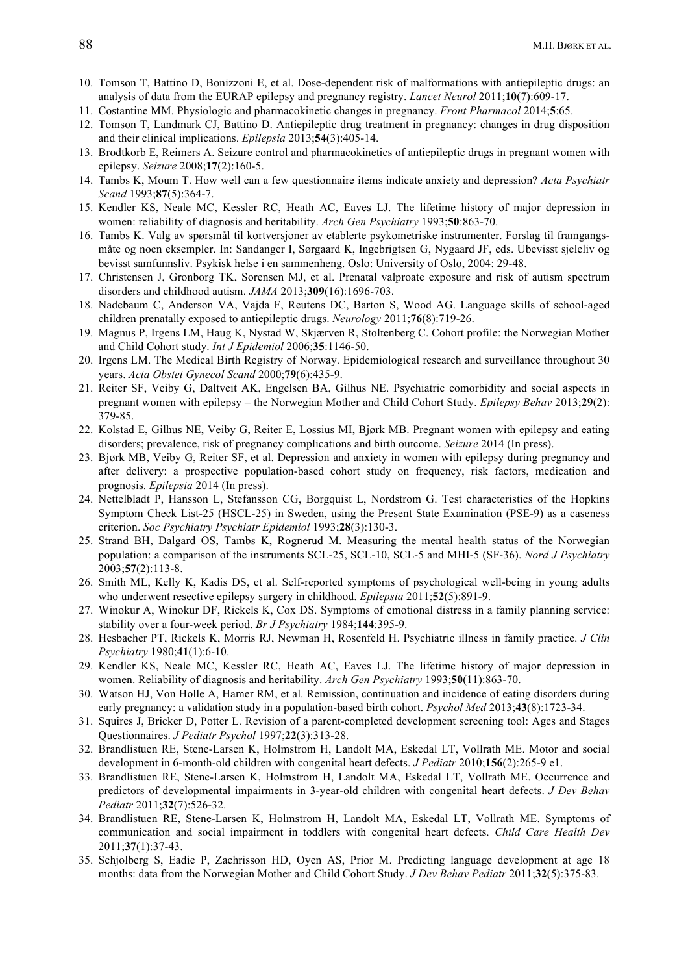- 10. Tomson T, Battino D, Bonizzoni E, et al. Dose-dependent risk of malformations with antiepileptic drugs: an analysis of data from the EURAP epilepsy and pregnancy registry. *Lancet Neurol* 2011;**10**(7):609-17.
- 11. Costantine MM. Physiologic and pharmacokinetic changes in pregnancy. *Front Pharmacol* 2014;**5**:65.
- 12. Tomson T, Landmark CJ, Battino D. Antiepileptic drug treatment in pregnancy: changes in drug disposition and their clinical implications. *Epilepsia* 2013;**54**(3):405-14.
- 13. Brodtkorb E, Reimers A. Seizure control and pharmacokinetics of antiepileptic drugs in pregnant women with epilepsy. *Seizure* 2008;**17**(2):160-5.
- 14. Tambs K, Moum T. How well can a few questionnaire items indicate anxiety and depression? *Acta Psychiatr Scand* 1993;**87**(5):364-7.
- 15. Kendler KS, Neale MC, Kessler RC, Heath AC, Eaves LJ. The lifetime history of major depression in women: reliability of diagnosis and heritability. *Arch Gen Psychiatry* 1993;**50**:863-70.
- 16. Tambs K. Valg av spørsmål til kortversjoner av etablerte psykometriske instrumenter. Forslag til framgangsmåte og noen eksempler. In: Sandanger I, Sørgaard K, Ingebrigtsen G, Nygaard JF, eds. Ubevisst sjeleliv og bevisst samfunnsliv. Psykisk helse i en sammenheng. Oslo: University of Oslo, 2004: 29-48.
- 17. Christensen J, Gronborg TK, Sorensen MJ, et al. Prenatal valproate exposure and risk of autism spectrum disorders and childhood autism. *JAMA* 2013;**309**(16):1696-703.
- 18. Nadebaum C, Anderson VA, Vajda F, Reutens DC, Barton S, Wood AG. Language skills of school-aged children prenatally exposed to antiepileptic drugs. *Neurology* 2011;**76**(8):719-26.
- 19. Magnus P, Irgens LM, Haug K, Nystad W, Skjærven R, Stoltenberg C. Cohort profile: the Norwegian Mother and Child Cohort study. *Int J Epidemiol* 2006;**35**:1146-50.
- 20. Irgens LM. The Medical Birth Registry of Norway. Epidemiological research and surveillance throughout 30 years. *Acta Obstet Gynecol Scand* 2000;**79**(6):435-9.
- 21. Reiter SF, Veiby G, Daltveit AK, Engelsen BA, Gilhus NE. Psychiatric comorbidity and social aspects in pregnant women with epilepsy – the Norwegian Mother and Child Cohort Study. *Epilepsy Behav* 2013;**29**(2): 379-85.
- 22. Kolstad E, Gilhus NE, Veiby G, Reiter E, Lossius MI, Bjørk MB. Pregnant women with epilepsy and eating disorders; prevalence, risk of pregnancy complications and birth outcome. *Seizure* 2014 (In press).
- 23. Bjørk MB, Veiby G, Reiter SF, et al. Depression and anxiety in women with epilepsy during pregnancy and after delivery: a prospective population-based cohort study on frequency, risk factors, medication and prognosis. *Epilepsia* 2014 (In press).
- 24. Nettelbladt P, Hansson L, Stefansson CG, Borgquist L, Nordstrom G. Test characteristics of the Hopkins Symptom Check List-25 (HSCL-25) in Sweden, using the Present State Examination (PSE-9) as a caseness criterion. *Soc Psychiatry Psychiatr Epidemiol* 1993;**28**(3):130-3.
- 25. Strand BH, Dalgard OS, Tambs K, Rognerud M. Measuring the mental health status of the Norwegian population: a comparison of the instruments SCL-25, SCL-10, SCL-5 and MHI-5 (SF-36). *Nord J Psychiatry* 2003;**57**(2):113-8.
- 26. Smith ML, Kelly K, Kadis DS, et al. Self-reported symptoms of psychological well-being in young adults who underwent resective epilepsy surgery in childhood. *Epilepsia* 2011;**52**(5):891-9.
- 27. Winokur A, Winokur DF, Rickels K, Cox DS. Symptoms of emotional distress in a family planning service: stability over a four-week period. *Br J Psychiatry* 1984;**144**:395-9.
- 28. Hesbacher PT, Rickels K, Morris RJ, Newman H, Rosenfeld H. Psychiatric illness in family practice. *J Clin Psychiatry* 1980;**41**(1):6-10.
- 29. Kendler KS, Neale MC, Kessler RC, Heath AC, Eaves LJ. The lifetime history of major depression in women. Reliability of diagnosis and heritability. *Arch Gen Psychiatry* 1993;**50**(11):863-70.
- 30. Watson HJ, Von Holle A, Hamer RM, et al. Remission, continuation and incidence of eating disorders during early pregnancy: a validation study in a population-based birth cohort. *Psychol Med* 2013;**43**(8):1723-34.
- 31. Squires J, Bricker D, Potter L. Revision of a parent-completed development screening tool: Ages and Stages Questionnaires. *J Pediatr Psychol* 1997;**22**(3):313-28.
- 32. Brandlistuen RE, Stene-Larsen K, Holmstrom H, Landolt MA, Eskedal LT, Vollrath ME. Motor and social development in 6-month-old children with congenital heart defects. *J Pediatr* 2010;**156**(2):265-9 e1.
- 33. Brandlistuen RE, Stene-Larsen K, Holmstrom H, Landolt MA, Eskedal LT, Vollrath ME. Occurrence and predictors of developmental impairments in 3-year-old children with congenital heart defects. *J Dev Behav Pediatr* 2011;**32**(7):526-32.
- 34. Brandlistuen RE, Stene-Larsen K, Holmstrom H, Landolt MA, Eskedal LT, Vollrath ME. Symptoms of communication and social impairment in toddlers with congenital heart defects. *Child Care Health Dev* 2011;**37**(1):37-43.
- 35. Schjolberg S, Eadie P, Zachrisson HD, Oyen AS, Prior M. Predicting language development at age 18 months: data from the Norwegian Mother and Child Cohort Study. *J Dev Behav Pediatr* 2011;**32**(5):375-83.